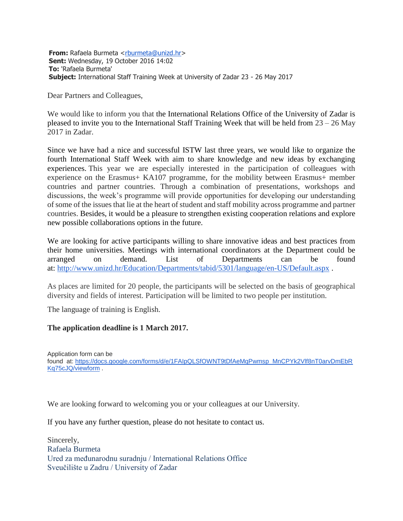**From:** Rafaela Burmeta [<rburmeta@unizd.hr>](mailto:rburmeta@unizd.hr) **Sent:** Wednesday, 19 October 2016 14:02 **To:** 'Rafaela Burmeta' **Subject:** International Staff Training Week at University of Zadar 23 - 26 May 2017

Dear Partners and Colleagues,

We would like to inform you that the International Relations Office of the University of Zadar is pleased to invite you to the International Staff Training Week that will be held from  $23 - 26$  May 2017 in Zadar.

Since we have had a nice and successful ISTW last three years, we would like to organize the fourth International Staff Week with aim to share knowledge and new ideas by exchanging experiences. This year we are especially interested in the participation of colleagues with experience on the Erasmus+ KA107 programme, for the mobility between Erasmus+ member countries and partner countries. Through a combination of presentations, workshops and discussions, the week's programme will provide opportunities for developing our understanding of some of the issues that lie at the heart of student and staff mobility across programme and partner countries. Besides, it would be a pleasure to strengthen existing cooperation relations and explore new possible collaborations options in the future.

We are looking for active participants willing to share innovative ideas and best practices from their home universities. Meetings with international coordinators at the Department could be arranged on demand. List of Departments can be found at: <http://www.unizd.hr/Education/Departments/tabid/5301/language/en-US/Default.aspx> .

As places are limited for 20 people, the participants will be selected on the basis of geographical diversity and fields of interest. Participation will be limited to two people per institution.

The language of training is English.

## **The application deadline is 1 March 2017.**

Application form can be found at: [https://docs.google.com/forms/d/e/1FAIpQLSfOWNT9tDfAeMqPwmsp\\_MnCPYk2Vlf8nT0arvDmEbR](https://docs.google.com/forms/d/e/1FAIpQLSfOWNT9tDfAeMqPwmsp_MnCPYk2Vlf8nT0arvDmEbRKq75cJQ/viewform) [Kq75cJQ/viewform](https://docs.google.com/forms/d/e/1FAIpQLSfOWNT9tDfAeMqPwmsp_MnCPYk2Vlf8nT0arvDmEbRKq75cJQ/viewform) .

We are looking forward to welcoming you or your colleagues at our University.

If you have any further question, please do not hesitate to contact us.

Sincerely, Rafaela Burmeta Ured za međunarodnu suradnju / International Relations Office Sveučilište u Zadru / University of Zadar